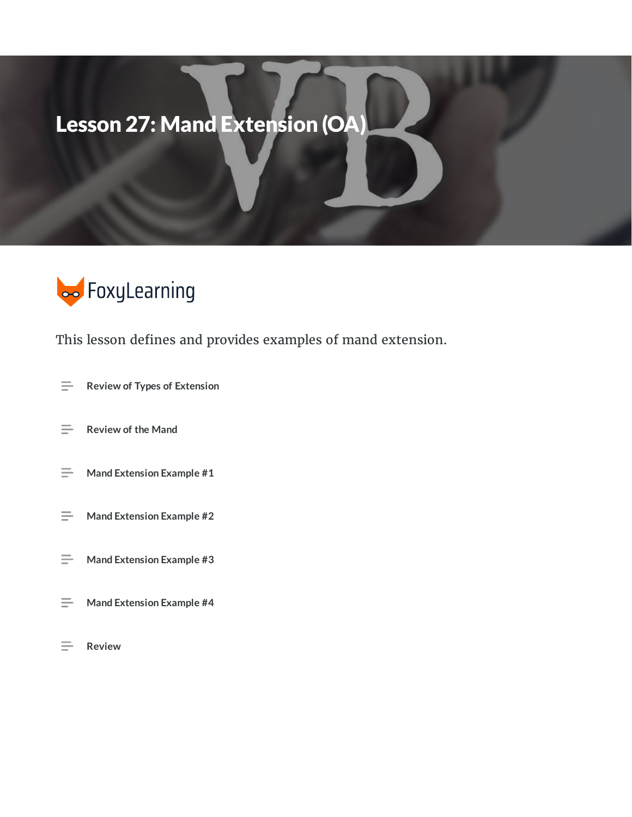# Lesson 27: Mand Extension (OA)



This lesson defines and provides examples of mand extension.

- $\equiv$ **Review of Types of Extension**
- $\equiv$ **Review of the Mand**
- $\equiv$ **Mand Extension Example #1**
- $\equiv$ **Mand Extension Example #2**
- $\equiv$ **Mand Extension Example #3**
- $\equiv$ **Mand Extension Example #4**
- $\equiv$ **Review**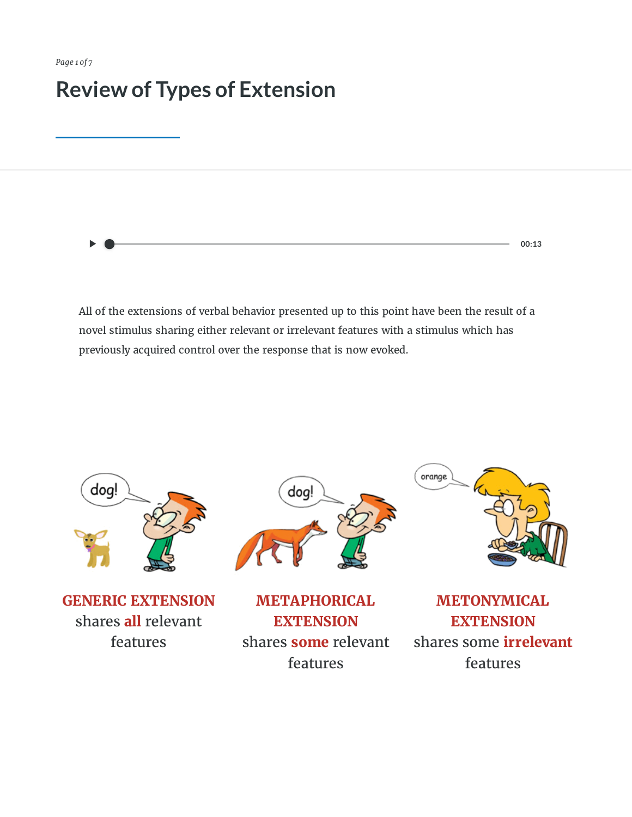*Page 1 of 7*

#### **Review of Types of Extension**

**00:13**

All of the extensions of verbal behavior presented up to this point have been the result of a novel stimulus sharing either relevant or irrelevant features with a stimulus which has previously acquired control over the response that is now evoked.



**GENERIC EXTENSION** shares **all** relevant features



**METAPHORICAL EXTENSION** shares **some** relevant features



**METONYMICAL EXTENSION** shares some **irrelevant** features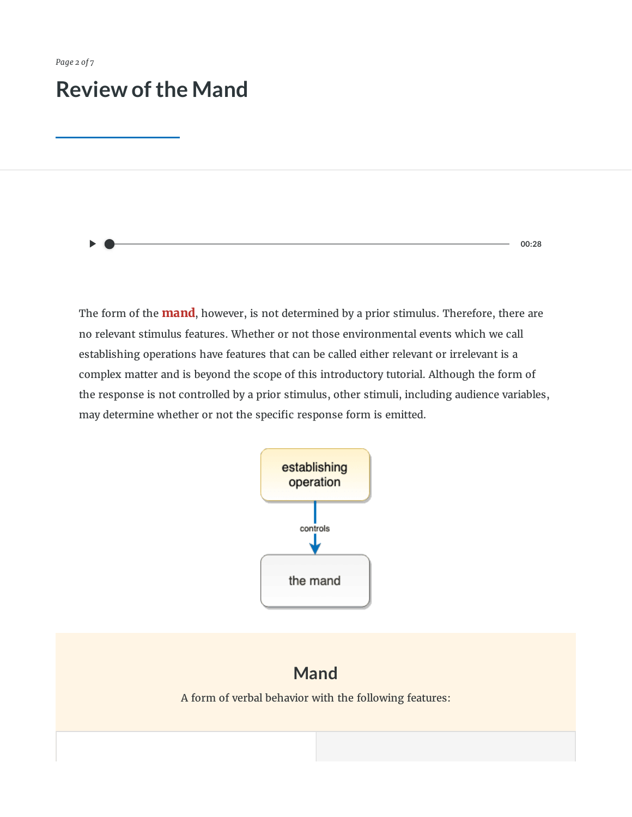#### **Review of the Mand**

**00:28**

The form of the **mand**, however, is not determined by a prior stimulus. Therefore, there are no relevant stimulus features. Whether or not those environmental events which we call establishing operations have features that can be called either relevant or irrelevant is a complex matter and is beyond the scope of this introductory tutorial. Although the form of the response is not controlled by a prior stimulus, other stimuli, including audience variables, may determine whether or not the specific response form is emitted.



#### **Mand**

A form of verbal behavior with the following features: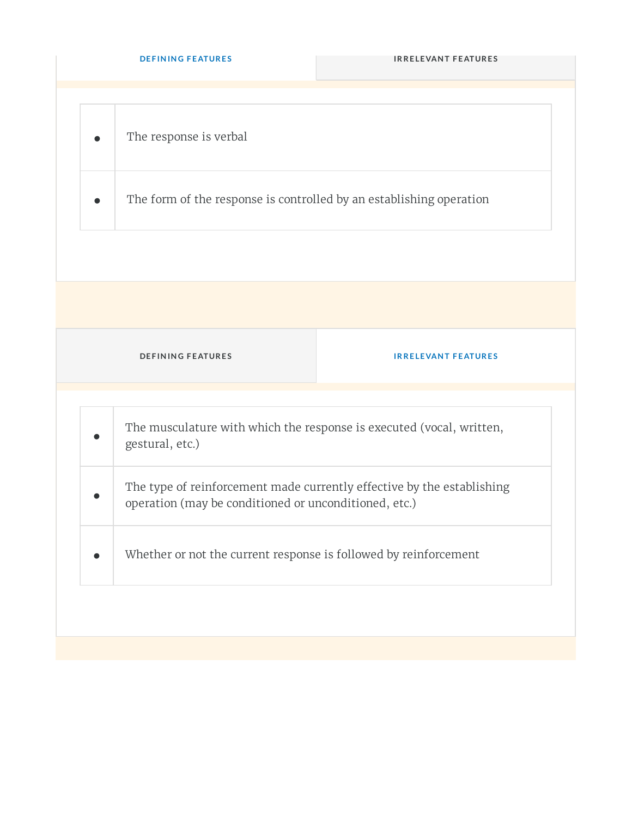| <b>DEFINING FEATURES</b>                                                                                                        | <b>IRRELEVANT FEATURES</b> |
|---------------------------------------------------------------------------------------------------------------------------------|----------------------------|
| The response is verbal                                                                                                          |                            |
| The form of the response is controlled by an establishing operation                                                             |                            |
|                                                                                                                                 |                            |
| <b>DEFINING FEATURES</b>                                                                                                        | <b>IRRELEVANT FEATURES</b> |
| The musculature with which the response is executed (vocal, written,<br>gestural, etc.)                                         |                            |
| The type of reinforcement made currently effective by the establishing<br>operation (may be conditioned or unconditioned, etc.) |                            |
| Whether or not the current response is followed by reinforcement                                                                |                            |
|                                                                                                                                 |                            |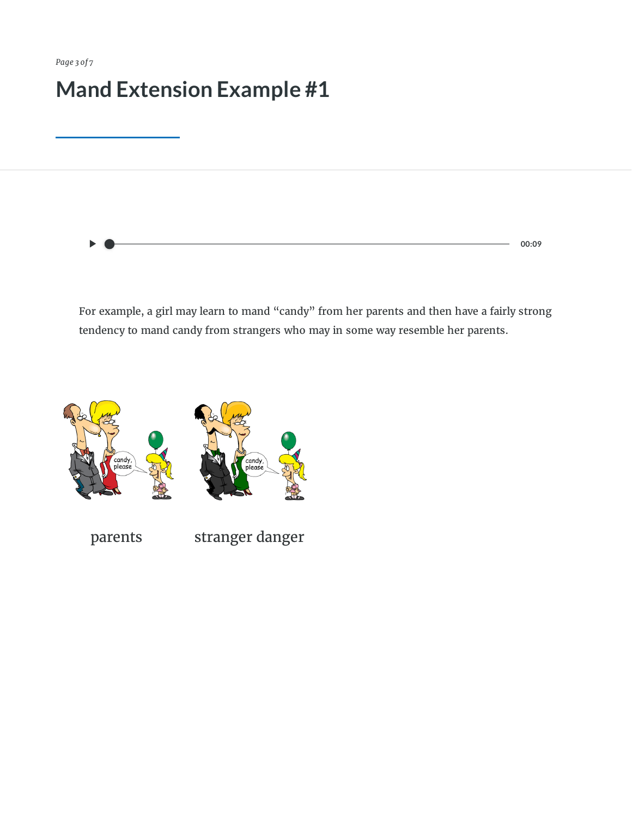**00:09**

For example, a girl may learn to mand "candy" from her parents and then have a fairly strong tendency to mand candy from strangers who may in some way resemble her parents.



parents stranger danger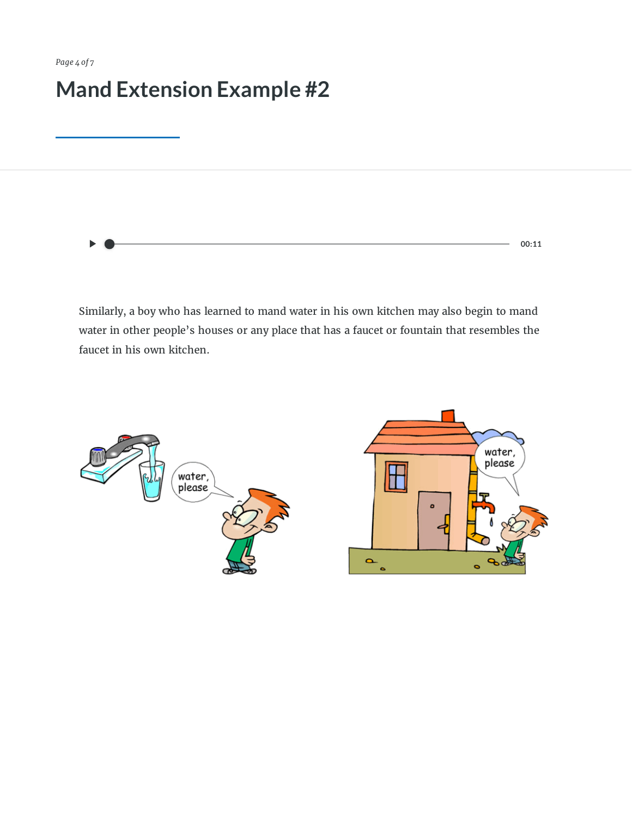**00:11**

Similarly, a boy who has learned to mand water in his own kitchen may also begin to mand water in other people's houses or any place that has a faucet or fountain that resembles the faucet in his own kitchen.

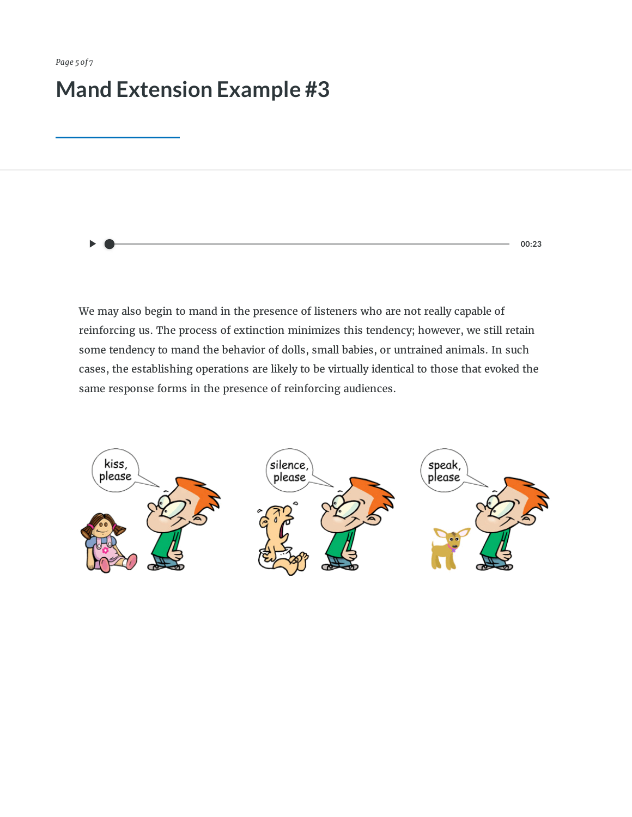**00:23**

We may also begin to mand in the presence of listeners who are not really capable of reinforcing us. The process of extinction minimizes this tendency; however, we still retain some tendency to mand the behavior of dolls, small babies, or untrained animals. In such cases, the establishing operations are likely to be virtually identical to those that evoked the same response forms in the presence of reinforcing audiences.

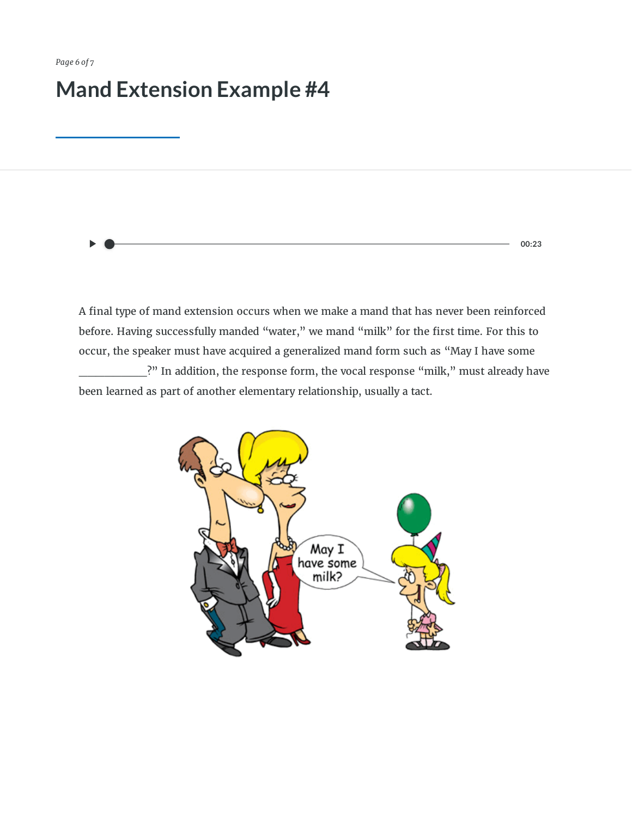**00:23**

A final type of mand extension occurs when we make a mand that has never been reinforced before. Having successfully manded "water," we mand "milk" for the first time. For this to occur, the speaker must have acquired a generalized mand form such as "May I have some .<sup>2"</sup> In addition, the response form, the vocal response "milk," must already have

been learned as part of another elementary relationship, usually a tact.